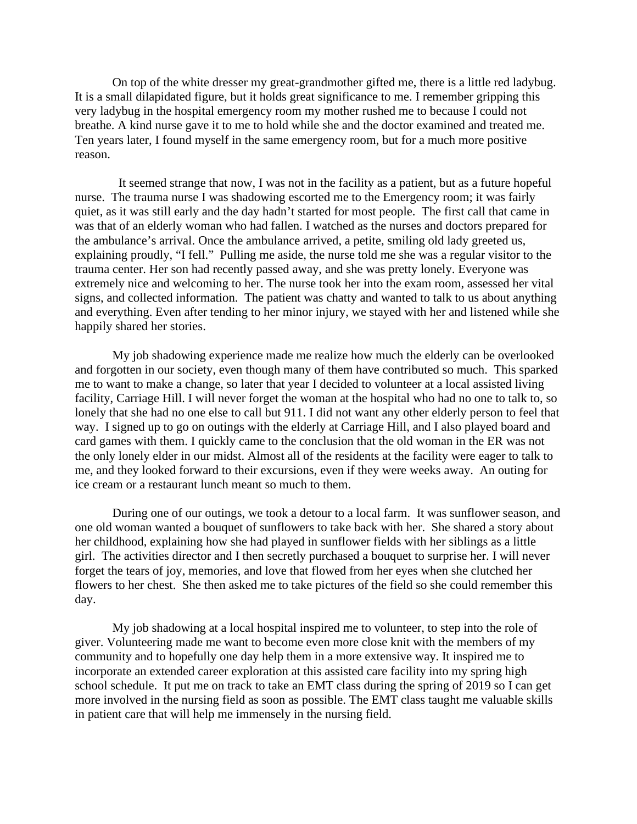On top of the white dresser my great-grandmother gifted me, there is a little red ladybug. It is a small dilapidated figure, but it holds great significance to me. I remember gripping this very ladybug in the hospital emergency room my mother rushed me to because I could not breathe. A kind nurse gave it to me to hold while she and the doctor examined and treated me. Ten years later, I found myself in the same emergency room, but for a much more positive reason.

 It seemed strange that now, I was not in the facility as a patient, but as a future hopeful nurse. The trauma nurse I was shadowing escorted me to the Emergency room; it was fairly quiet, as it was still early and the day hadn't started for most people. The first call that came in was that of an elderly woman who had fallen. I watched as the nurses and doctors prepared for the ambulance's arrival. Once the ambulance arrived, a petite, smiling old lady greeted us, explaining proudly, "I fell." Pulling me aside, the nurse told me she was a regular visitor to the trauma center. Her son had recently passed away, and she was pretty lonely. Everyone was extremely nice and welcoming to her. The nurse took her into the exam room, assessed her vital signs, and collected information. The patient was chatty and wanted to talk to us about anything and everything. Even after tending to her minor injury, we stayed with her and listened while she happily shared her stories.

My job shadowing experience made me realize how much the elderly can be overlooked and forgotten in our society, even though many of them have contributed so much. This sparked me to want to make a change, so later that year I decided to volunteer at a local assisted living facility, Carriage Hill. I will never forget the woman at the hospital who had no one to talk to, so lonely that she had no one else to call but 911. I did not want any other elderly person to feel that way. I signed up to go on outings with the elderly at Carriage Hill, and I also played board and card games with them. I quickly came to the conclusion that the old woman in the ER was not the only lonely elder in our midst. Almost all of the residents at the facility were eager to talk to me, and they looked forward to their excursions, even if they were weeks away. An outing for ice cream or a restaurant lunch meant so much to them.

During one of our outings, we took a detour to a local farm. It was sunflower season, and one old woman wanted a bouquet of sunflowers to take back with her. She shared a story about her childhood, explaining how she had played in sunflower fields with her siblings as a little girl. The activities director and I then secretly purchased a bouquet to surprise her. I will never forget the tears of joy, memories, and love that flowed from her eyes when she clutched her flowers to her chest. She then asked me to take pictures of the field so she could remember this day.

My job shadowing at a local hospital inspired me to volunteer, to step into the role of giver. Volunteering made me want to become even more close knit with the members of my community and to hopefully one day help them in a more extensive way. It inspired me to incorporate an extended career exploration at this assisted care facility into my spring high school schedule. It put me on track to take an EMT class during the spring of 2019 so I can get more involved in the nursing field as soon as possible. The EMT class taught me valuable skills in patient care that will help me immensely in the nursing field.